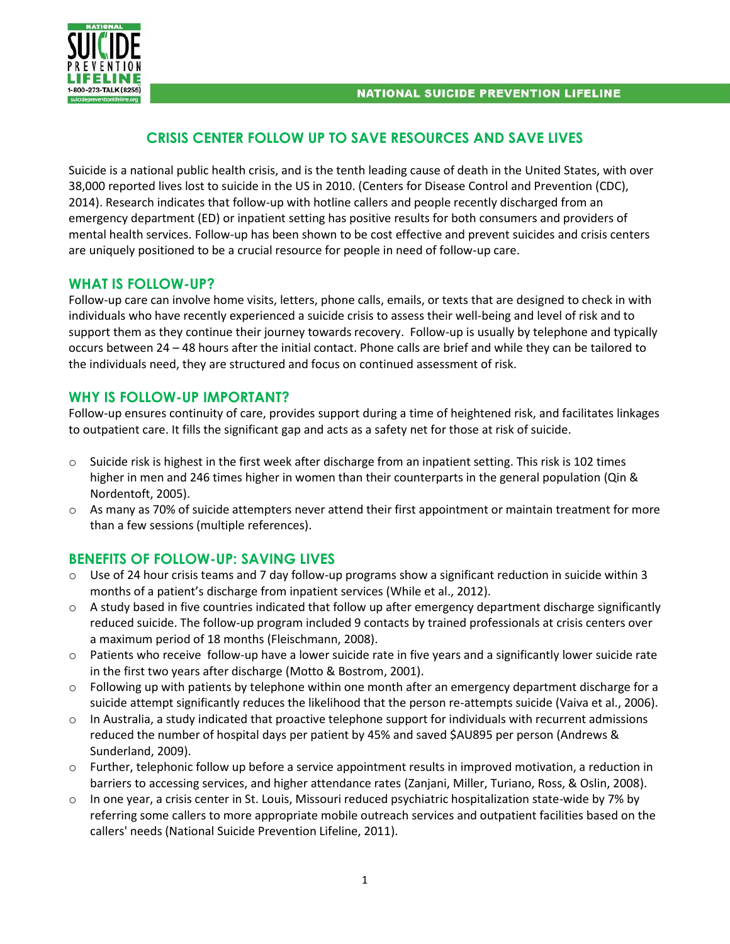

# **CRISIS CENTER FOLLOW UP TO SAVE RESOURCES AND SAVE LIVES**

Suicide is a national public health crisis, and is the tenth leading cause of death in the United States, with over 38,000 reported lives lost to suicide in the US in 2010. (Centers for Disease Control and Prevention (CDC), 2014). Research indicates that follow-up with hotline callers and people recently discharged from an emergency department (ED) or inpatient setting has positive results for both consumers and providers of mental health services. Follow-up has been shown to be cost effective and prevent suicides and crisis centers are uniquely positioned to be a crucial resource for people in need of follow-up care.

### **WHAT IS FOLLOW-UP?**

Follow-up care can involve home visits, letters, phone calls, emails, or texts that are designed to check in with individuals who have recently experienced a suicide crisis to assess their well-being and level of risk and to support them as they continue their journey towards recovery. Follow-up is usually by telephone and typically occurs between 24 – 48 hours after the initial contact. Phone calls are brief and while they can be tailored to the individuals need, they are structured and focus on continued assessment of risk.

## **WHY IS FOLLOW-UP IMPORTANT?**

Follow-up ensures continuity of care, provides support during a time of heightened risk, and facilitates linkages to outpatient care. It fills the significant gap and acts as a safety net for those at risk of suicide.

- $\circ$  Suicide risk is highest in the first week after discharge from an inpatient setting. This risk is 102 times higher in men and 246 times higher in women than their counterparts in the general population (Qin & Nordentoft, 2005).
- o As many as 70% of suicide attempters never attend their first appointment or maintain treatment for more than a few sessions (multiple references).

## **BENEFITS OF FOLLOW-UP: SAVING LIVES**

- Use of 24 hour crisis teams and 7 day follow-up programs show a significant reduction in suicide within 3 months of a patient's discharge from inpatient services (While et al., 2012).
- $\circ$  A study based in five countries indicated that follow up after emergency department discharge significantly reduced suicide. The follow-up program included 9 contacts by trained professionals at crisis centers over a maximum period of 18 months (Fleischmann, 2008).
- o Patients who receive follow-up have a lower suicide rate in five years and a significantly lower suicide rate in the first two years after discharge (Motto & Bostrom, 2001).
- $\circ$  Following up with patients by telephone within one month after an emergency department discharge for a suicide attempt significantly reduces the likelihood that the person re-attempts suicide (Vaiva et al., 2006).
- $\circ$  In Australia, a study indicated that proactive telephone support for individuals with recurrent admissions reduced the number of hospital days per patient by 45% and saved \$AU895 per person (Andrews & Sunderland, 2009).
- o Further, telephonic follow up before a service appointment results in improved motivation, a reduction in barriers to accessing services, and higher attendance rates (Zanjani, Miller, Turiano, Ross, & Oslin, 2008).
- $\circ$  In one year, a crisis center in St. Louis, Missouri reduced psychiatric hospitalization state-wide by 7% by referring some callers to more appropriate mobile outreach services and outpatient facilities based on the callers' needs (National Suicide Prevention Lifeline, 2011).